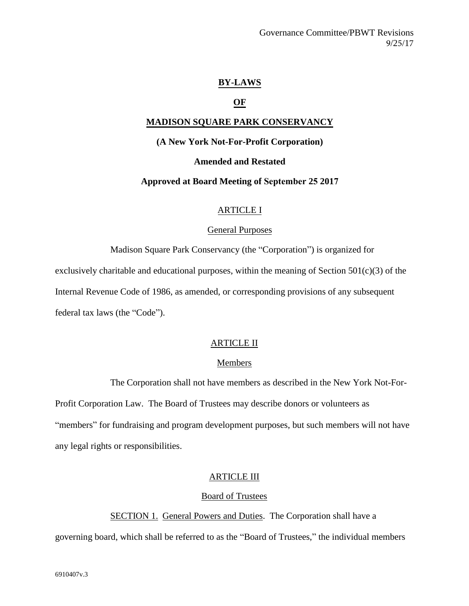# **BY-LAWS**

# **OF**

# **MADISON SQUARE PARK CONSERVANCY**

# **(A New York Not-For-Profit Corporation)**

# **Amended and Restated**

## **Approved at Board Meeting of September 25 2017**

# ARTICLE I

### General Purposes

Madison Square Park Conservancy (the "Corporation") is organized for exclusively charitable and educational purposes, within the meaning of Section  $501(c)(3)$  of the Internal Revenue Code of 1986, as amended, or corresponding provisions of any subsequent federal tax laws (the "Code").

# ARTICLE II

# Members

The Corporation shall not have members as described in the New York Not-For-

Profit Corporation Law. The Board of Trustees may describe donors or volunteers as "members" for fundraising and program development purposes, but such members will not have any legal rights or responsibilities.

# ARTICLE III

### Board of Trustees

SECTION 1. General Powers and Duties. The Corporation shall have a governing board, which shall be referred to as the "Board of Trustees," the individual members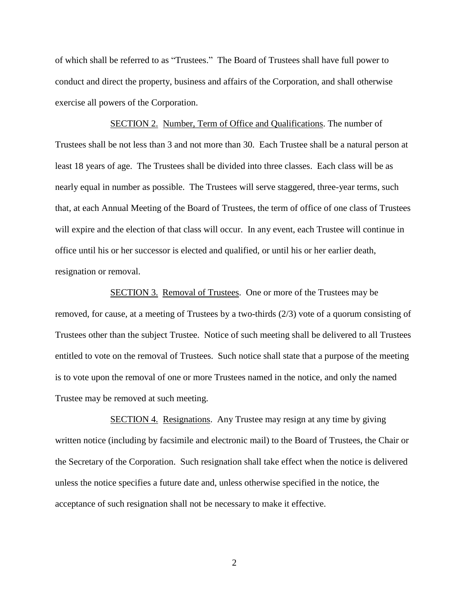of which shall be referred to as "Trustees." The Board of Trustees shall have full power to conduct and direct the property, business and affairs of the Corporation, and shall otherwise exercise all powers of the Corporation.

SECTION 2. Number, Term of Office and Qualifications. The number of Trustees shall be not less than 3 and not more than 30. Each Trustee shall be a natural person at least 18 years of age. The Trustees shall be divided into three classes. Each class will be as nearly equal in number as possible. The Trustees will serve staggered, three-year terms, such that, at each Annual Meeting of the Board of Trustees, the term of office of one class of Trustees will expire and the election of that class will occur. In any event, each Trustee will continue in office until his or her successor is elected and qualified, or until his or her earlier death, resignation or removal.

SECTION 3. Removal of Trustees. One or more of the Trustees may be removed, for cause, at a meeting of Trustees by a two-thirds (2/3) vote of a quorum consisting of Trustees other than the subject Trustee. Notice of such meeting shall be delivered to all Trustees entitled to vote on the removal of Trustees. Such notice shall state that a purpose of the meeting is to vote upon the removal of one or more Trustees named in the notice, and only the named Trustee may be removed at such meeting.

SECTION 4. Resignations. Any Trustee may resign at any time by giving written notice (including by facsimile and electronic mail) to the Board of Trustees, the Chair or the Secretary of the Corporation. Such resignation shall take effect when the notice is delivered unless the notice specifies a future date and, unless otherwise specified in the notice, the acceptance of such resignation shall not be necessary to make it effective.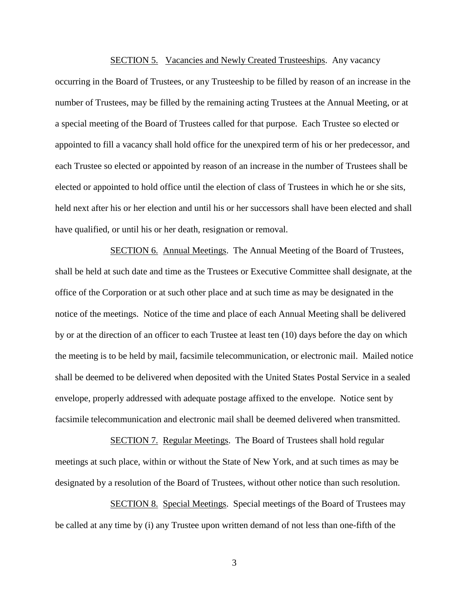#### SECTION 5. Vacancies and Newly Created Trusteeships. Any vacancy

occurring in the Board of Trustees, or any Trusteeship to be filled by reason of an increase in the number of Trustees, may be filled by the remaining acting Trustees at the Annual Meeting, or at a special meeting of the Board of Trustees called for that purpose. Each Trustee so elected or appointed to fill a vacancy shall hold office for the unexpired term of his or her predecessor, and each Trustee so elected or appointed by reason of an increase in the number of Trustees shall be elected or appointed to hold office until the election of class of Trustees in which he or she sits, held next after his or her election and until his or her successors shall have been elected and shall have qualified, or until his or her death, resignation or removal.

SECTION 6. Annual Meetings. The Annual Meeting of the Board of Trustees, shall be held at such date and time as the Trustees or Executive Committee shall designate, at the office of the Corporation or at such other place and at such time as may be designated in the notice of the meetings. Notice of the time and place of each Annual Meeting shall be delivered by or at the direction of an officer to each Trustee at least ten (10) days before the day on which the meeting is to be held by mail, facsimile telecommunication, or electronic mail. Mailed notice shall be deemed to be delivered when deposited with the United States Postal Service in a sealed envelope, properly addressed with adequate postage affixed to the envelope. Notice sent by facsimile telecommunication and electronic mail shall be deemed delivered when transmitted.

SECTION 7. Regular Meetings. The Board of Trustees shall hold regular meetings at such place, within or without the State of New York, and at such times as may be designated by a resolution of the Board of Trustees, without other notice than such resolution.

SECTION 8. Special Meetings. Special meetings of the Board of Trustees may be called at any time by (i) any Trustee upon written demand of not less than one-fifth of the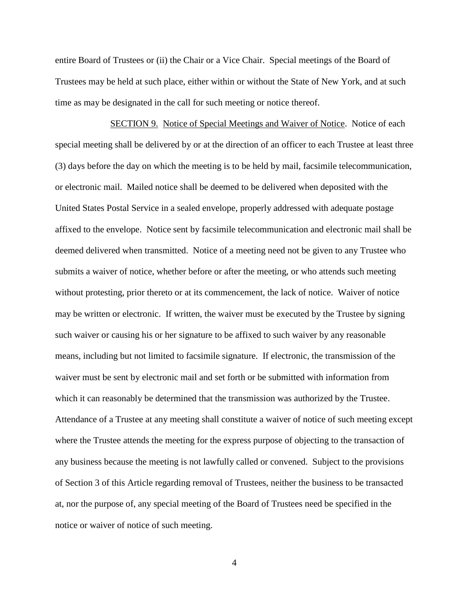entire Board of Trustees or (ii) the Chair or a Vice Chair. Special meetings of the Board of Trustees may be held at such place, either within or without the State of New York, and at such time as may be designated in the call for such meeting or notice thereof.

SECTION 9. Notice of Special Meetings and Waiver of Notice. Notice of each special meeting shall be delivered by or at the direction of an officer to each Trustee at least three (3) days before the day on which the meeting is to be held by mail, facsimile telecommunication, or electronic mail. Mailed notice shall be deemed to be delivered when deposited with the United States Postal Service in a sealed envelope, properly addressed with adequate postage affixed to the envelope. Notice sent by facsimile telecommunication and electronic mail shall be deemed delivered when transmitted. Notice of a meeting need not be given to any Trustee who submits a waiver of notice, whether before or after the meeting, or who attends such meeting without protesting, prior thereto or at its commencement, the lack of notice. Waiver of notice may be written or electronic. If written, the waiver must be executed by the Trustee by signing such waiver or causing his or her signature to be affixed to such waiver by any reasonable means, including but not limited to facsimile signature. If electronic, the transmission of the waiver must be sent by electronic mail and set forth or be submitted with information from which it can reasonably be determined that the transmission was authorized by the Trustee. Attendance of a Trustee at any meeting shall constitute a waiver of notice of such meeting except where the Trustee attends the meeting for the express purpose of objecting to the transaction of any business because the meeting is not lawfully called or convened. Subject to the provisions of Section 3 of this Article regarding removal of Trustees, neither the business to be transacted at, nor the purpose of, any special meeting of the Board of Trustees need be specified in the notice or waiver of notice of such meeting.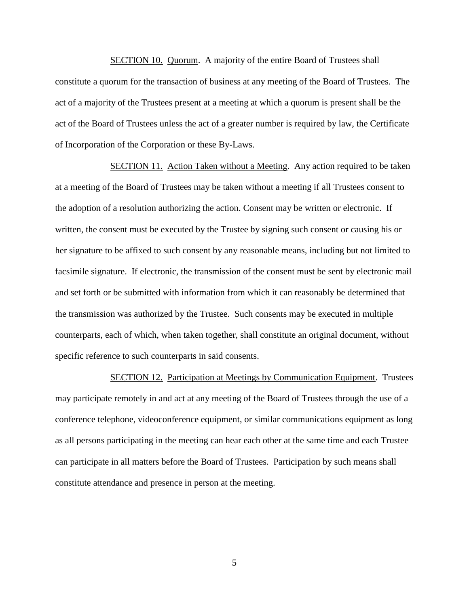SECTION 10. Quorum. A majority of the entire Board of Trustees shall constitute a quorum for the transaction of business at any meeting of the Board of Trustees. The act of a majority of the Trustees present at a meeting at which a quorum is present shall be the act of the Board of Trustees unless the act of a greater number is required by law, the Certificate of Incorporation of the Corporation or these By-Laws.

SECTION 11. Action Taken without a Meeting. Any action required to be taken at a meeting of the Board of Trustees may be taken without a meeting if all Trustees consent to the adoption of a resolution authorizing the action. Consent may be written or electronic. If written, the consent must be executed by the Trustee by signing such consent or causing his or her signature to be affixed to such consent by any reasonable means, including but not limited to facsimile signature. If electronic, the transmission of the consent must be sent by electronic mail and set forth or be submitted with information from which it can reasonably be determined that the transmission was authorized by the Trustee. Such consents may be executed in multiple counterparts, each of which, when taken together, shall constitute an original document, without specific reference to such counterparts in said consents.

SECTION 12. Participation at Meetings by Communication Equipment. Trustees may participate remotely in and act at any meeting of the Board of Trustees through the use of a conference telephone, videoconference equipment, or similar communications equipment as long as all persons participating in the meeting can hear each other at the same time and each Trustee can participate in all matters before the Board of Trustees. Participation by such means shall constitute attendance and presence in person at the meeting.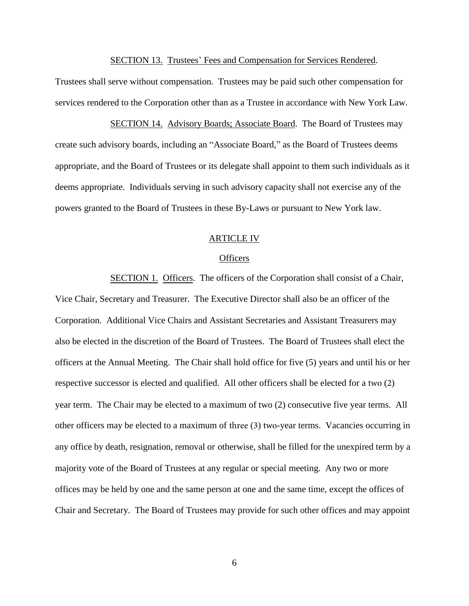SECTION 13. Trustees' Fees and Compensation for Services Rendered.

Trustees shall serve without compensation. Trustees may be paid such other compensation for services rendered to the Corporation other than as a Trustee in accordance with New York Law.

SECTION 14. Advisory Boards; Associate Board. The Board of Trustees may create such advisory boards, including an "Associate Board," as the Board of Trustees deems appropriate, and the Board of Trustees or its delegate shall appoint to them such individuals as it deems appropriate. Individuals serving in such advisory capacity shall not exercise any of the powers granted to the Board of Trustees in these By-Laws or pursuant to New York law.

# ARTICLE IV

# **Officers**

SECTION 1. Officers. The officers of the Corporation shall consist of a Chair, Vice Chair, Secretary and Treasurer. The Executive Director shall also be an officer of the Corporation. Additional Vice Chairs and Assistant Secretaries and Assistant Treasurers may also be elected in the discretion of the Board of Trustees. The Board of Trustees shall elect the officers at the Annual Meeting. The Chair shall hold office for five (5) years and until his or her respective successor is elected and qualified. All other officers shall be elected for a two (2) year term. The Chair may be elected to a maximum of two (2) consecutive five year terms. All other officers may be elected to a maximum of three (3) two-year terms. Vacancies occurring in any office by death, resignation, removal or otherwise, shall be filled for the unexpired term by a majority vote of the Board of Trustees at any regular or special meeting. Any two or more offices may be held by one and the same person at one and the same time, except the offices of Chair and Secretary. The Board of Trustees may provide for such other offices and may appoint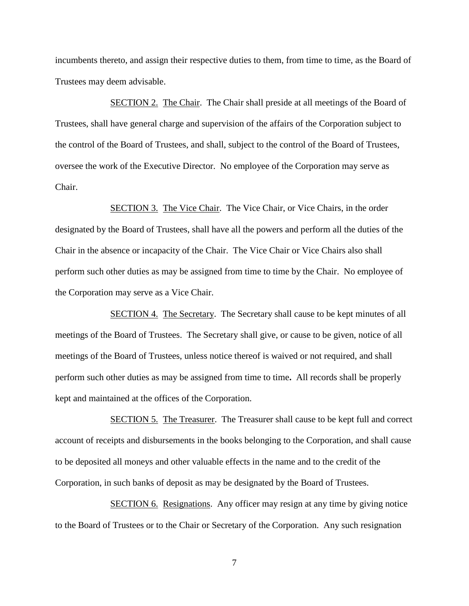incumbents thereto, and assign their respective duties to them, from time to time, as the Board of Trustees may deem advisable.

SECTION 2. The Chair. The Chair shall preside at all meetings of the Board of Trustees, shall have general charge and supervision of the affairs of the Corporation subject to the control of the Board of Trustees, and shall, subject to the control of the Board of Trustees, oversee the work of the Executive Director. No employee of the Corporation may serve as Chair.

SECTION 3. The Vice Chair. The Vice Chair, or Vice Chairs, in the order designated by the Board of Trustees, shall have all the powers and perform all the duties of the Chair in the absence or incapacity of the Chair. The Vice Chair or Vice Chairs also shall perform such other duties as may be assigned from time to time by the Chair. No employee of the Corporation may serve as a Vice Chair.

SECTION 4. The Secretary. The Secretary shall cause to be kept minutes of all meetings of the Board of Trustees. The Secretary shall give, or cause to be given, notice of all meetings of the Board of Trustees, unless notice thereof is waived or not required, and shall perform such other duties as may be assigned from time to time**.** All records shall be properly kept and maintained at the offices of the Corporation.

SECTION 5. The Treasurer. The Treasurer shall cause to be kept full and correct account of receipts and disbursements in the books belonging to the Corporation, and shall cause to be deposited all moneys and other valuable effects in the name and to the credit of the Corporation, in such banks of deposit as may be designated by the Board of Trustees.

SECTION 6. Resignations. Any officer may resign at any time by giving notice to the Board of Trustees or to the Chair or Secretary of the Corporation. Any such resignation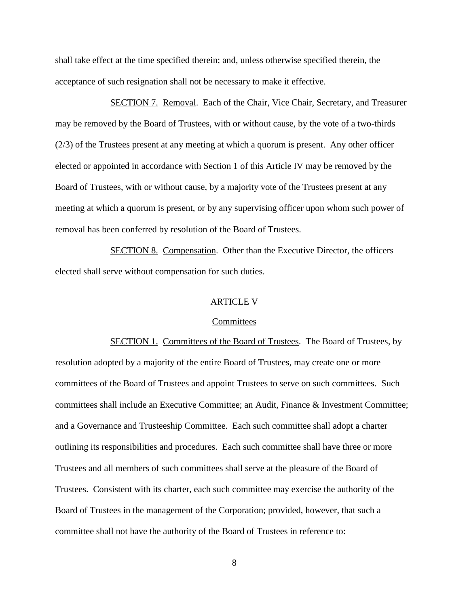shall take effect at the time specified therein; and, unless otherwise specified therein, the acceptance of such resignation shall not be necessary to make it effective.

SECTION 7. Removal. Each of the Chair, Vice Chair, Secretary, and Treasurer may be removed by the Board of Trustees, with or without cause, by the vote of a two-thirds (2/3) of the Trustees present at any meeting at which a quorum is present. Any other officer elected or appointed in accordance with Section 1 of this Article IV may be removed by the Board of Trustees, with or without cause, by a majority vote of the Trustees present at any meeting at which a quorum is present, or by any supervising officer upon whom such power of removal has been conferred by resolution of the Board of Trustees.

SECTION 8. Compensation. Other than the Executive Director, the officers elected shall serve without compensation for such duties.

### ARTICLE V

#### **Committees**

SECTION 1. Committees of the Board of Trustees. The Board of Trustees, by resolution adopted by a majority of the entire Board of Trustees, may create one or more committees of the Board of Trustees and appoint Trustees to serve on such committees. Such committees shall include an Executive Committee; an Audit, Finance & Investment Committee; and a Governance and Trusteeship Committee. Each such committee shall adopt a charter outlining its responsibilities and procedures. Each such committee shall have three or more Trustees and all members of such committees shall serve at the pleasure of the Board of Trustees. Consistent with its charter, each such committee may exercise the authority of the Board of Trustees in the management of the Corporation; provided, however, that such a committee shall not have the authority of the Board of Trustees in reference to: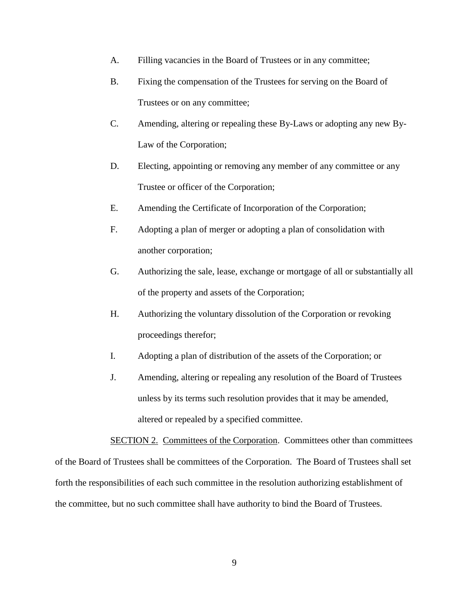- A. Filling vacancies in the Board of Trustees or in any committee;
- B. Fixing the compensation of the Trustees for serving on the Board of Trustees or on any committee;
- C. Amending, altering or repealing these By-Laws or adopting any new By-Law of the Corporation;
- D. Electing, appointing or removing any member of any committee or any Trustee or officer of the Corporation;
- E. Amending the Certificate of Incorporation of the Corporation;
- F. Adopting a plan of merger or adopting a plan of consolidation with another corporation;
- G. Authorizing the sale, lease, exchange or mortgage of all or substantially all of the property and assets of the Corporation;
- H. Authorizing the voluntary dissolution of the Corporation or revoking proceedings therefor;
- I. Adopting a plan of distribution of the assets of the Corporation; or
- J. Amending, altering or repealing any resolution of the Board of Trustees unless by its terms such resolution provides that it may be amended, altered or repealed by a specified committee.

SECTION 2. Committees of the Corporation. Committees other than committees of the Board of Trustees shall be committees of the Corporation. The Board of Trustees shall set forth the responsibilities of each such committee in the resolution authorizing establishment of the committee, but no such committee shall have authority to bind the Board of Trustees.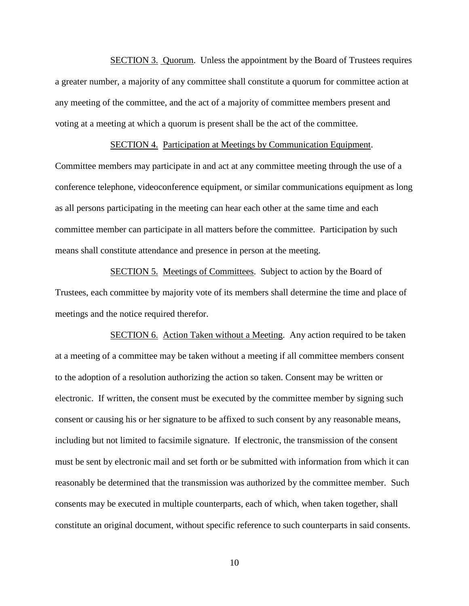SECTION 3. Quorum. Unless the appointment by the Board of Trustees requires a greater number, a majority of any committee shall constitute a quorum for committee action at any meeting of the committee, and the act of a majority of committee members present and voting at a meeting at which a quorum is present shall be the act of the committee.

# SECTION 4. Participation at Meetings by Communication Equipment.

Committee members may participate in and act at any committee meeting through the use of a conference telephone, videoconference equipment, or similar communications equipment as long as all persons participating in the meeting can hear each other at the same time and each committee member can participate in all matters before the committee. Participation by such means shall constitute attendance and presence in person at the meeting.

SECTION 5. Meetings of Committees. Subject to action by the Board of Trustees, each committee by majority vote of its members shall determine the time and place of meetings and the notice required therefor.

SECTION 6. Action Taken without a Meeting. Any action required to be taken at a meeting of a committee may be taken without a meeting if all committee members consent to the adoption of a resolution authorizing the action so taken. Consent may be written or electronic. If written, the consent must be executed by the committee member by signing such consent or causing his or her signature to be affixed to such consent by any reasonable means, including but not limited to facsimile signature. If electronic, the transmission of the consent must be sent by electronic mail and set forth or be submitted with information from which it can reasonably be determined that the transmission was authorized by the committee member. Such consents may be executed in multiple counterparts, each of which, when taken together, shall constitute an original document, without specific reference to such counterparts in said consents.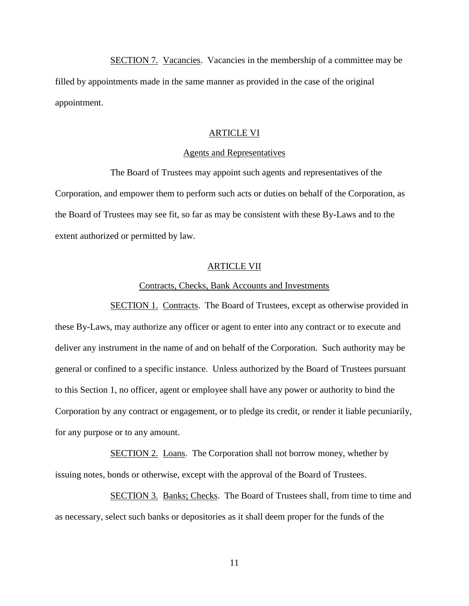SECTION 7. Vacancies. Vacancies in the membership of a committee may be filled by appointments made in the same manner as provided in the case of the original appointment.

### ARTICLE VI

### Agents and Representatives

The Board of Trustees may appoint such agents and representatives of the Corporation, and empower them to perform such acts or duties on behalf of the Corporation, as the Board of Trustees may see fit, so far as may be consistent with these By-Laws and to the extent authorized or permitted by law.

### ARTICLE VII

### Contracts, Checks, Bank Accounts and Investments

SECTION 1. Contracts. The Board of Trustees, except as otherwise provided in these By-Laws, may authorize any officer or agent to enter into any contract or to execute and deliver any instrument in the name of and on behalf of the Corporation. Such authority may be general or confined to a specific instance. Unless authorized by the Board of Trustees pursuant to this Section 1, no officer, agent or employee shall have any power or authority to bind the Corporation by any contract or engagement, or to pledge its credit, or render it liable pecuniarily, for any purpose or to any amount.

SECTION 2. Loans. The Corporation shall not borrow money, whether by issuing notes, bonds or otherwise, except with the approval of the Board of Trustees.

SECTION 3. Banks; Checks. The Board of Trustees shall, from time to time and as necessary, select such banks or depositories as it shall deem proper for the funds of the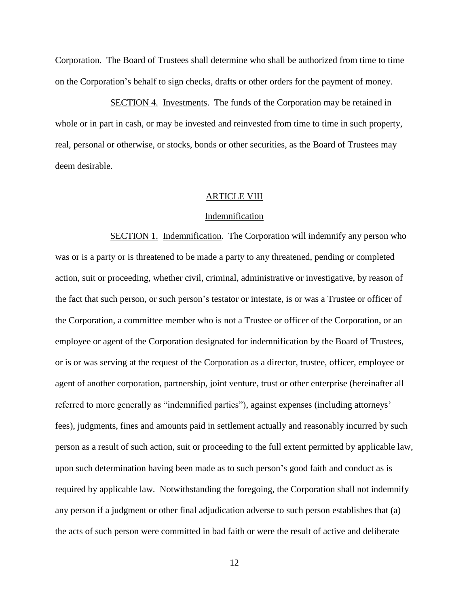Corporation. The Board of Trustees shall determine who shall be authorized from time to time on the Corporation's behalf to sign checks, drafts or other orders for the payment of money.

SECTION 4. Investments. The funds of the Corporation may be retained in whole or in part in cash, or may be invested and reinvested from time to time in such property, real, personal or otherwise, or stocks, bonds or other securities, as the Board of Trustees may deem desirable.

#### ARTICLE VIII

# Indemnification

SECTION 1. Indemnification. The Corporation will indemnify any person who was or is a party or is threatened to be made a party to any threatened, pending or completed action, suit or proceeding, whether civil, criminal, administrative or investigative, by reason of the fact that such person, or such person's testator or intestate, is or was a Trustee or officer of the Corporation, a committee member who is not a Trustee or officer of the Corporation, or an employee or agent of the Corporation designated for indemnification by the Board of Trustees, or is or was serving at the request of the Corporation as a director, trustee, officer, employee or agent of another corporation, partnership, joint venture, trust or other enterprise (hereinafter all referred to more generally as "indemnified parties"), against expenses (including attorneys' fees), judgments, fines and amounts paid in settlement actually and reasonably incurred by such person as a result of such action, suit or proceeding to the full extent permitted by applicable law, upon such determination having been made as to such person's good faith and conduct as is required by applicable law. Notwithstanding the foregoing, the Corporation shall not indemnify any person if a judgment or other final adjudication adverse to such person establishes that (a) the acts of such person were committed in bad faith or were the result of active and deliberate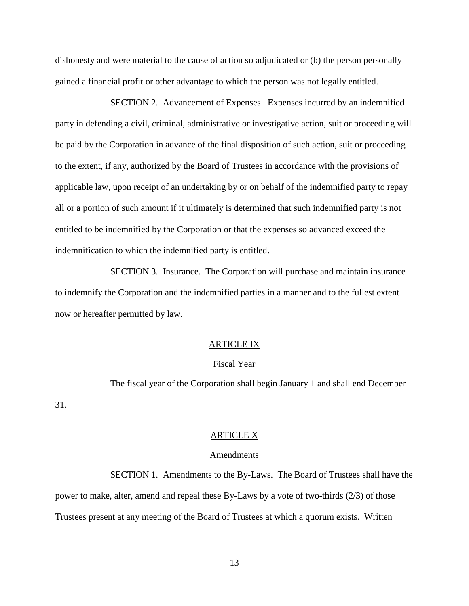dishonesty and were material to the cause of action so adjudicated or (b) the person personally gained a financial profit or other advantage to which the person was not legally entitled.

SECTION 2. Advancement of Expenses. Expenses incurred by an indemnified party in defending a civil, criminal, administrative or investigative action, suit or proceeding will be paid by the Corporation in advance of the final disposition of such action, suit or proceeding to the extent, if any, authorized by the Board of Trustees in accordance with the provisions of applicable law, upon receipt of an undertaking by or on behalf of the indemnified party to repay all or a portion of such amount if it ultimately is determined that such indemnified party is not entitled to be indemnified by the Corporation or that the expenses so advanced exceed the indemnification to which the indemnified party is entitled.

SECTION 3. Insurance. The Corporation will purchase and maintain insurance to indemnify the Corporation and the indemnified parties in a manner and to the fullest extent now or hereafter permitted by law.

### ARTICLE IX

# Fiscal Year

The fiscal year of the Corporation shall begin January 1 and shall end December 31.

# ARTICLE X

### Amendments

SECTION 1. Amendments to the By-Laws. The Board of Trustees shall have the power to make, alter, amend and repeal these By-Laws by a vote of two-thirds (2/3) of those Trustees present at any meeting of the Board of Trustees at which a quorum exists. Written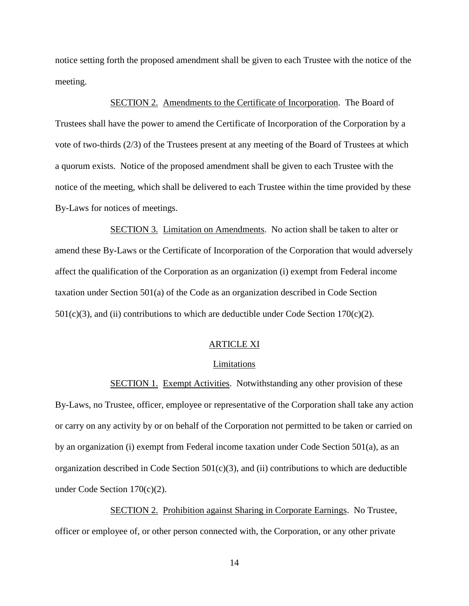notice setting forth the proposed amendment shall be given to each Trustee with the notice of the meeting.

SECTION 2. Amendments to the Certificate of Incorporation. The Board of Trustees shall have the power to amend the Certificate of Incorporation of the Corporation by a vote of two-thirds (2/3) of the Trustees present at any meeting of the Board of Trustees at which a quorum exists. Notice of the proposed amendment shall be given to each Trustee with the notice of the meeting, which shall be delivered to each Trustee within the time provided by these By-Laws for notices of meetings.

SECTION 3. Limitation on Amendments. No action shall be taken to alter or amend these By-Laws or the Certificate of Incorporation of the Corporation that would adversely affect the qualification of the Corporation as an organization (i) exempt from Federal income taxation under Section 501(a) of the Code as an organization described in Code Section  $501(c)(3)$ , and (ii) contributions to which are deductible under Code Section 170(c)(2).

# ARTICLE XI

### Limitations

SECTION 1. Exempt Activities. Notwithstanding any other provision of these By-Laws, no Trustee, officer, employee or representative of the Corporation shall take any action or carry on any activity by or on behalf of the Corporation not permitted to be taken or carried on by an organization (i) exempt from Federal income taxation under Code Section 501(a), as an organization described in Code Section  $501(c)(3)$ , and (ii) contributions to which are deductible under Code Section 170(c)(2).

SECTION 2. Prohibition against Sharing in Corporate Earnings. No Trustee, officer or employee of, or other person connected with, the Corporation, or any other private